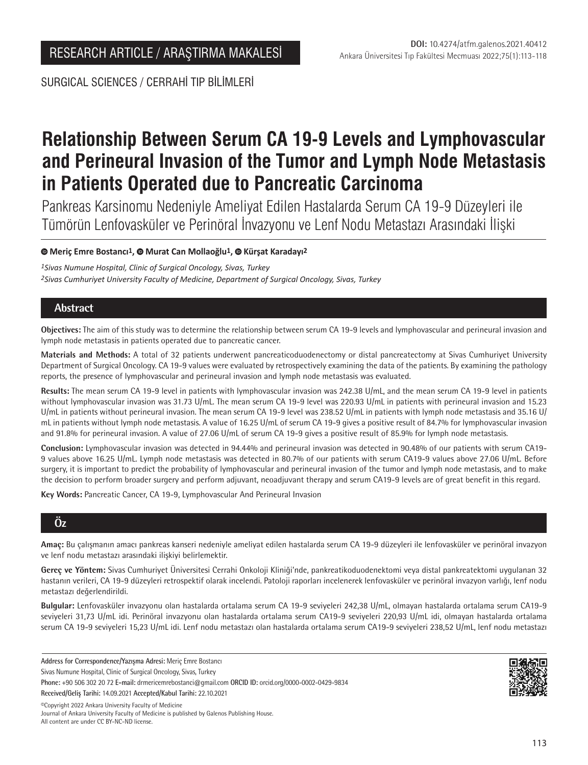SURGICAL SCIENCES / CERRAHİ TIP BİLİMLERİ

# **Relationship Between Serum CA 19-9 Levels and Lymphovascular and Perineural Invasion of the Tumor and Lymph Node Metastasis in Patients Operated due to Pancreatic Carcinoma**

Pankreas Karsinomu Nedeniyle Ameliyat Edilen Hastalarda Serum CA 19-9 Düzeyleri ile Tümörün Lenfovasküler ve Perinöral İnvazyonu ve Lenf Nodu Metastazı Arasındaki İlişki

## **Meriç Emre Bostancı1,Murat Can Mollaoğlu1,Kürşat Karadayı2**

*1Sivas Numune Hospital, Clinic of Surgical Oncology, Sivas, Turkey 2Sivas Cumhuriyet University Faculty of Medicine, Department of Surgical Oncology, Sivas, Turkey*

# **Abstract**

**Objectives:** The aim of this study was to determine the relationship between serum CA 19-9 levels and lymphovascular and perineural invasion and lymph node metastasis in patients operated due to pancreatic cancer.

**Materials and Methods:** A total of 32 patients underwent pancreaticoduodenectomy or distal pancreatectomy at Sivas Cumhuriyet University Department of Surgical Oncology. CA 19-9 values were evaluated by retrospectively examining the data of the patients. By examining the pathology reports, the presence of lymphovascular and perineural invasion and lymph node metastasis was evaluated.

**Results:** The mean serum CA 19-9 level in patients with lymphovascular invasion was 242.38 U/mL, and the mean serum CA 19-9 level in patients without lymphovascular invasion was 31.73 U/mL. The mean serum CA 19-9 level was 220.93 U/mL in patients with perineural invasion and 15.23 U/mL in patients without perineural invasion. The mean serum CA 19-9 level was 238.52 U/mL in patients with lymph node metastasis and 35.16 U/ mL in patients without lymph node metastasis. A value of 16.25 U/mL of serum CA 19-9 gives a positive result of 84.7% for lymphovascular invasion and 91.8% for perineural invasion. A value of 27.06 U/mL of serum CA 19-9 gives a positive result of 85.9% for lymph node metastasis.

**Conclusion:** Lymphovascular invasion was detected in 94.44% and perineural invasion was detected in 90.48% of our patients with serum CA19- 9 values above 16.25 U/mL. Lymph node metastasis was detected in 80.7% of our patients with serum CA19-9 values above 27.06 U/mL. Before surgery, it is important to predict the probability of lymphovascular and perineural invasion of the tumor and lymph node metastasis, and to make the decision to perform broader surgery and perform adjuvant, neoadjuvant therapy and serum CA19-9 levels are of great benefit in this regard.

**Key Words:** Pancreatic Cancer, CA 19-9, Lymphovascular And Perineural Invasion

# **Öz**

**Amaç:** Bu çalışmanın amacı pankreas kanseri nedeniyle ameliyat edilen hastalarda serum CA 19-9 düzeyleri ile lenfovasküler ve perinöral invazyon ve lenf nodu metastazı arasındaki ilişkiyi belirlemektir.

**Gereç ve Yöntem:** Sivas Cumhuriyet Üniversitesi Cerrahi Onkoloji Kliniği'nde, pankreatikoduodenektomi veya distal pankreatektomi uygulanan 32 hastanın verileri, CA 19-9 düzeyleri retrospektif olarak incelendi. Patoloji raporları incelenerek lenfovasküler ve perinöral invazyon varlığı, lenf nodu metastazı değerlendirildi.

**Bulgular:** Lenfovasküler invazyonu olan hastalarda ortalama serum CA 19-9 seviyeleri 242,38 U/mL, olmayan hastalarda ortalama serum CA19-9 seviyeleri 31,73 U/mL idi. Perinöral invazyonu olan hastalarda ortalama serum CA19-9 seviyeleri 220,93 U/mL idi, olmayan hastalarda ortalama serum CA 19-9 seviyeleri 15,23 U/mL idi. Lenf nodu metastazı olan hastalarda ortalama serum CA19-9 seviyeleri 238,52 U/mL, lenf nodu metastazı

**Address for Correspondence/Yazışma Adresi:** Meriç Emre Bostancı Sivas Numune Hospital, Clinic of Surgical Oncology, Sivas, Turkey **Phone:** +90 506 302 20 72 **E-mail:** drmericemrebostanci@gmail.com **ORCID ID:** orcid.org/0000-0002-0429-9834



©️Copyright 2022 Ankara University Faculty of Medicine Journal of Ankara University Faculty of Medicine is published by Galenos Publishing House. All content are under CC BY-NC-ND license.

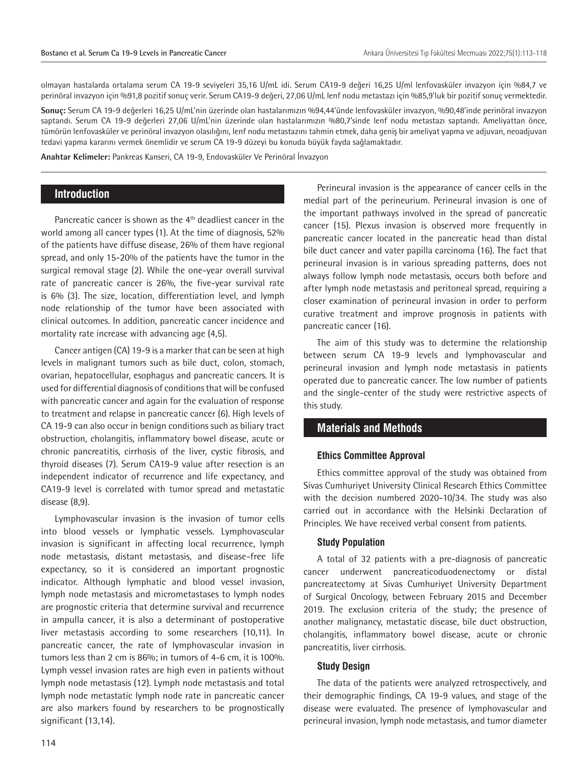olmayan hastalarda ortalama serum CA 19-9 seviyeleri 35,16 U/mL idi. Serum CA19-9 değeri 16,25 U/ml lenfovasküler invazyon için %84,7 ve perinöral invazyon için %91,8 pozitif sonuç verir. Serum CA19-9 değeri, 27,06 U/mL lenf nodu metastazı için %85,9'luk bir pozitif sonuç vermektedir.

**Sonuç:** Serum CA 19-9 değerleri 16,25 U/mL'nin üzerinde olan hastalarımızın %94,44'ünde lenfovasküler invazyon, %90,48'inde perinöral invazyon saptandı. Serum CA 19-9 değerleri 27,06 U/mL'nin üzerinde olan hastalarımızın %80,7'sinde lenf nodu metastazı saptandı. Ameliyattan önce, tümörün lenfovasküler ve perinöral invazyon olasılığını, lenf nodu metastazını tahmin etmek, daha geniş bir ameliyat yapma ve adjuvan, neoadjuvan tedavi yapma kararını vermek önemlidir ve serum CA 19-9 düzeyi bu konuda büyük fayda sağlamaktadır.

**Anahtar Kelimeler:** Pankreas Kanseri, CA 19-9, Endovasküler Ve Perinöral İnvazyon

#### **Introduction**

Pancreatic cancer is shown as the  $4<sup>th</sup>$  deadliest cancer in the world among all cancer types (1). At the time of diagnosis, 52% of the patients have diffuse disease, 26% of them have regional spread, and only 15-20% of the patients have the tumor in the surgical removal stage (2). While the one-year overall survival rate of pancreatic cancer is 26%, the five-year survival rate is 6% (3). The size, location, differentiation level, and lymph node relationship of the tumor have been associated with clinical outcomes. In addition, pancreatic cancer incidence and mortality rate increase with advancing age (4,5).

Cancer antigen (CA) 19-9 is a marker that can be seen at high levels in malignant tumors such as bile duct, colon, stomach, ovarian, hepatocellular, esophagus and pancreatic cancers. It is used for differential diagnosis of conditions that will be confused with pancreatic cancer and again for the evaluation of response to treatment and relapse in pancreatic cancer (6). High levels of CA 19-9 can also occur in benign conditions such as biliary tract obstruction, cholangitis, inflammatory bowel disease, acute or chronic pancreatitis, cirrhosis of the liver, cystic fibrosis, and thyroid diseases (7). Serum CA19-9 value after resection is an independent indicator of recurrence and life expectancy, and CA19-9 level is correlated with tumor spread and metastatic disease (8,9).

Lymphovascular invasion is the invasion of tumor cells into blood vessels or lymphatic vessels. Lymphovascular invasion is significant in affecting local recurrence, lymph node metastasis, distant metastasis, and disease-free life expectancy, so it is considered an important prognostic indicator. Although lymphatic and blood vessel invasion, lymph node metastasis and micrometastases to lymph nodes are prognostic criteria that determine survival and recurrence in ampulla cancer, it is also a determinant of postoperative liver metastasis according to some researchers (10,11). In pancreatic cancer, the rate of lymphovascular invasion in tumors less than 2 cm is 86%; in tumors of 4-6 cm, it is 100%. Lymph vessel invasion rates are high even in patients without lymph node metastasis (12). Lymph node metastasis and total lymph node metastatic lymph node rate in pancreatic cancer are also markers found by researchers to be prognostically significant (13,14).

Perineural invasion is the appearance of cancer cells in the medial part of the perineurium. Perineural invasion is one of the important pathways involved in the spread of pancreatic cancer (15). Plexus invasion is observed more frequently in pancreatic cancer located in the pancreatic head than distal bile duct cancer and vater papilla carcinoma (16). The fact that perineural invasion is in various spreading patterns, does not always follow lymph node metastasis, occurs both before and after lymph node metastasis and peritoneal spread, requiring a closer examination of perineural invasion in order to perform curative treatment and improve prognosis in patients with pancreatic cancer (16).

The aim of this study was to determine the relationship between serum CA 19-9 levels and lymphovascular and perineural invasion and lymph node metastasis in patients operated due to pancreatic cancer. The low number of patients and the single-center of the study were restrictive aspects of this study.

# **Materials and Methods**

#### **Ethics Committee Approval**

Ethics committee approval of the study was obtained from Sivas Cumhuriyet University Clinical Research Ethics Committee with the decision numbered 2020-10/34. The study was also carried out in accordance with the Helsinki Declaration of Principles. We have received verbal consent from patients.

#### **Study Population**

A total of 32 patients with a pre-diagnosis of pancreatic cancer underwent pancreaticoduodenectomy or distal pancreatectomy at Sivas Cumhuriyet University Department of Surgical Oncology, between February 2015 and December 2019. The exclusion criteria of the study; the presence of another malignancy, metastatic disease, bile duct obstruction, cholangitis, inflammatory bowel disease, acute or chronic pancreatitis, liver cirrhosis.

#### **Study Design**

The data of the patients were analyzed retrospectively, and their demographic findings, CA 19-9 values, and stage of the disease were evaluated. The presence of lymphovascular and perineural invasion, lymph node metastasis, and tumor diameter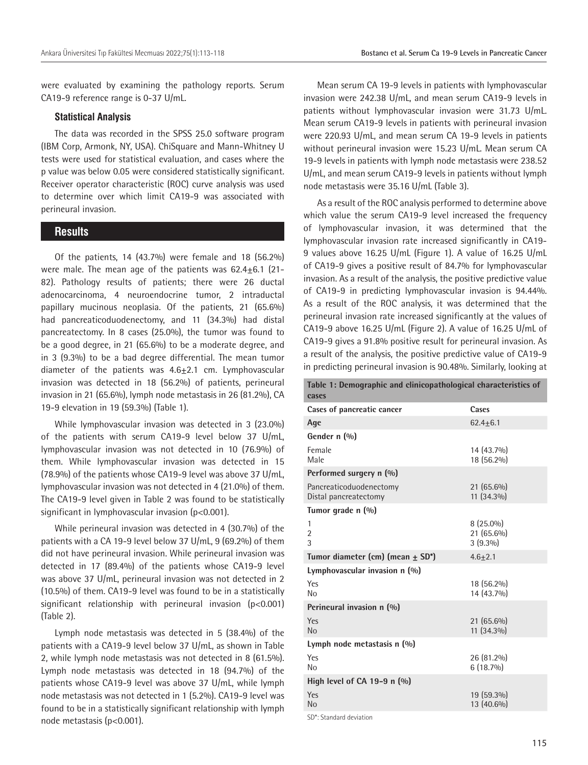were evaluated by examining the pathology reports. Serum CA19-9 reference range is 0-37 U/mL.

#### **Statistical Analysis**

The data was recorded in the SPSS 25.0 software program (IBM Corp, Armonk, NY, USA). ChiSquare and Mann-Whitney U tests were used for statistical evaluation, and cases where the p value was below 0.05 were considered statistically significant. Receiver operator characteristic (ROC) curve analysis was used to determine over which limit CA19-9 was associated with perineural invasion.

#### **Results**

Of the patients, 14 (43.7%) were female and 18 (56.2%) were male. The mean age of the patients was  $62.4 \pm 6.1$  (21-82). Pathology results of patients; there were 26 ductal adenocarcinoma, 4 neuroendocrine tumor, 2 intraductal papillary mucinous neoplasia. Of the patients, 21 (65.6%) had pancreaticoduodenectomy, and 11 (34.3%) had distal pancreatectomy. In 8 cases (25.0%), the tumor was found to be a good degree, in 21 (65.6%) to be a moderate degree, and in 3 (9.3%) to be a bad degree differential. The mean tumor diameter of the patients was  $4.6 \pm 2.1$  cm. Lymphovascular invasion was detected in 18 (56.2%) of patients, perineural invasion in 21 (65.6%), lymph node metastasis in 26 (81.2%), CA 19-9 elevation in 19 (59.3%) (Table 1).

While lymphovascular invasion was detected in 3 (23.0%) of the patients with serum CA19-9 level below 37 U/mL, lymphovascular invasion was not detected in 10 (76.9%) of them. While lymphovascular invasion was detected in 15 (78.9%) of the patients whose CA19-9 level was above 37 U/mL, lymphovascular invasion was not detected in 4 (21.0%) of them. The CA19-9 level given in Table 2 was found to be statistically significant in lymphovascular invasion (p<0.001).

While perineural invasion was detected in 4 (30.7%) of the patients with a CA 19-9 level below 37 U/mL, 9 (69.2%) of them did not have perineural invasion. While perineural invasion was detected in 17 (89.4%) of the patients whose CA19-9 level was above 37 U/mL, perineural invasion was not detected in 2 (10.5%) of them. CA19-9 level was found to be in a statistically significant relationship with perineural invasion (p<0.001) (Table 2).

Lymph node metastasis was detected in 5 (38.4%) of the patients with a CA19-9 level below 37 U/mL, as shown in Table 2, while lymph node metastasis was not detected in 8 (61.5%). Lymph node metastasis was detected in 18 (94.7%) of the patients whose CA19-9 level was above 37 U/mL, while lymph node metastasis was not detected in 1 (5.2%). CA19-9 level was found to be in a statistically significant relationship with lymph node metastasis (p<0.001).

Mean serum CA 19-9 levels in patients with lymphovascular invasion were 242.38 U/mL, and mean serum CA19-9 levels in patients without lymphovascular invasion were 31.73 U/mL. Mean serum CA19-9 levels in patients with perineural invasion were 220.93 U/mL, and mean serum CA 19-9 levels in patients without perineural invasion were 15.23 U/mL. Mean serum CA 19-9 levels in patients with lymph node metastasis were 238.52 U/mL, and mean serum CA19-9 levels in patients without lymph node metastasis were 35.16 U/mL (Table 3).

As a result of the ROC analysis performed to determine above which value the serum CA19-9 level increased the frequency of lymphovascular invasion, it was determined that the lymphovascular invasion rate increased significantly in CA19- 9 values above 16.25 U/mL (Figure 1). A value of 16.25 U/mL of CA19-9 gives a positive result of 84.7% for lymphovascular invasion. As a result of the analysis, the positive predictive value of CA19-9 in predicting lymphovascular invasion is 94.44%. As a result of the ROC analysis, it was determined that the perineural invasion rate increased significantly at the values of CA19-9 above 16.25 U/mL (Figure 2). A value of 16.25 U/mL of CA19-9 gives a 91.8% positive result for perineural invasion. As a result of the analysis, the positive predictive value of CA19-9 in predicting perineural invasion is 90.48%. Similarly, looking at

| Table 1: Demographic and clinicopathological characteristics of<br>cases |                                         |  |  |  |  |
|--------------------------------------------------------------------------|-----------------------------------------|--|--|--|--|
| Cases of pancreatic cancer                                               | Cases                                   |  |  |  |  |
| Age                                                                      | $62.4 + 6.1$                            |  |  |  |  |
| Gender n (%)                                                             |                                         |  |  |  |  |
| Female<br>Male                                                           | 14 (43.7%)<br>18 (56.2%)                |  |  |  |  |
| Performed surgery n (%)                                                  |                                         |  |  |  |  |
| Pancreaticoduodenectomy<br>Distal pancreatectomy                         | $21(65.6\%)$<br>$11(34.3\%)$            |  |  |  |  |
| Tumor grade n (%)                                                        |                                         |  |  |  |  |
| 1<br>$\overline{2}$<br>3                                                 | $8(25.0\%)$<br>21 (65.6%)<br>$3(9.3\%)$ |  |  |  |  |
| Tumor diameter (cm) (mean $\pm$ SD <sup>*</sup> )                        | $4.6 + 2.1$                             |  |  |  |  |
| Lymphovascular invasion $n$ (%)                                          |                                         |  |  |  |  |
| Yes<br>N <sub>0</sub>                                                    | 18 (56.2%)<br>14 (43.7%)                |  |  |  |  |
| Perineural invasion n (%)                                                |                                         |  |  |  |  |
| Yes<br>N <sub>o</sub>                                                    | 21 (65.6%)<br>11 (34.3%)                |  |  |  |  |
| Lymph node metastasis $n$ (%)                                            |                                         |  |  |  |  |
| Yes<br>N <sub>0</sub>                                                    | 26 (81.2%)<br>$6(18.7\%)$               |  |  |  |  |
| High level of CA 19-9 $n$ $(\%)$                                         |                                         |  |  |  |  |
| Yes<br>N <sub>0</sub>                                                    | 19 (59.3%)<br>$13(40.6\%)$              |  |  |  |  |

SD\*: Standard deviation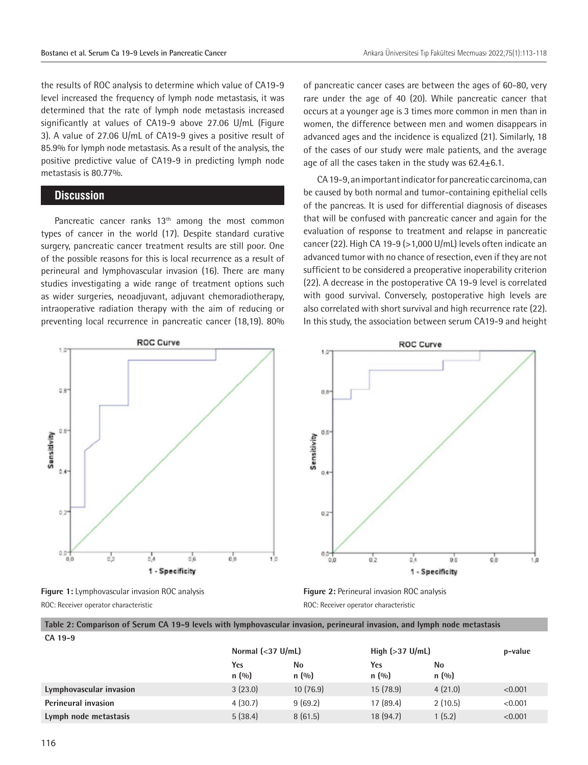the results of ROC analysis to determine which value of CA19-9 level increased the frequency of lymph node metastasis, it was determined that the rate of lymph node metastasis increased significantly at values of CA19-9 above 27.06 U/mL (Figure 3). A value of 27.06 U/mL of CA19-9 gives a positive result of 85.9% for lymph node metastasis. As a result of the analysis, the positive predictive value of CA19-9 in predicting lymph node metastasis is 80.77%.

### **Discussion**

Pancreatic cancer ranks  $13<sup>th</sup>$  among the most common types of cancer in the world (17). Despite standard curative surgery, pancreatic cancer treatment results are still poor. One of the possible reasons for this is local recurrence as a result of perineural and lymphovascular invasion (16). There are many studies investigating a wide range of treatment options such as wider surgeries, neoadjuvant, adjuvant chemoradiotherapy, intraoperative radiation therapy with the aim of reducing or preventing local recurrence in pancreatic cancer (18,19). 80%



**Figure 1:** Lymphovascular invasion ROC analysis ROC: Receiver operator characteristic

of pancreatic cancer cases are between the ages of 60-80, very rare under the age of 40 (20). While pancreatic cancer that occurs at a younger age is 3 times more common in men than in women, the difference between men and women disappears in advanced ages and the incidence is equalized (21). Similarly, 18 of the cases of our study were male patients, and the average age of all the cases taken in the study was  $62.4 \pm 6.1$ .

CA 19-9, an important indicator for pancreatic carcinoma, can be caused by both normal and tumor-containing epithelial cells of the pancreas. It is used for differential diagnosis of diseases that will be confused with pancreatic cancer and again for the evaluation of response to treatment and relapse in pancreatic cancer (22). High CA 19-9 (>1,000 U/mL) levels often indicate an advanced tumor with no chance of resection, even if they are not sufficient to be considered a preoperative inoperability criterion (22). A decrease in the postoperative CA 19-9 level is correlated with good survival. Conversely, postoperative high levels are also correlated with short survival and high recurrence rate (22). In this study, the association between serum CA19-9 and height



**Figure 2:** Perineural invasion ROC analysis ROC: Receiver operator characteristic

**Table 2: Comparison of Serum CA 19-9 levels with lymphovascular invasion, perineural invasion, and lymph node metastasis**

|                            | Normal $\left( <37 \text{ U/mL} \right)$ |             | High $(>37 \text{ U/mL})$ |              | p-value |
|----------------------------|------------------------------------------|-------------|---------------------------|--------------|---------|
|                            | Yes<br>n(9/0)                            | No<br>n(90) | Yes<br>n(90)              | No<br>n(0/0) |         |
| Lymphovascular invasion    | 3(23.0)                                  | 10(76.9)    | 15(78.9)                  | 4(21.0)      | < 0.001 |
| <b>Perineural invasion</b> | 4(30.7)                                  | 9(69.2)     | 17 (89.4)                 | 2(10.5)      | < 0.001 |
| Lymph node metastasis      | 5(38.4)                                  | 8(61.5)     | 18(94.7)                  | 1(5.2)       | < 0.001 |

**CA 19-9**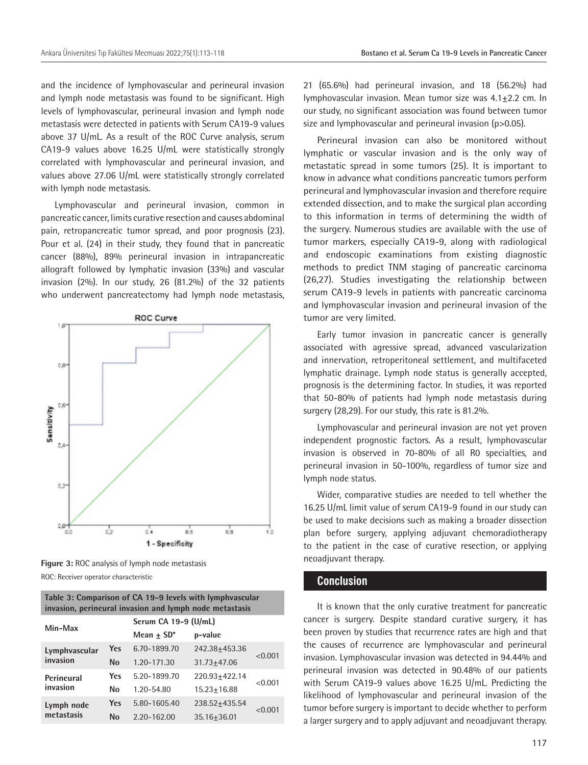and the incidence of lymphovascular and perineural invasion and lymph node metastasis was found to be significant. High levels of lymphovascular, perineural invasion and lymph node metastasis were detected in patients with Serum CA19-9 values above 37 U/mL. As a result of the ROC Curve analysis, serum CA19-9 values above 16.25 U/mL were statistically strongly correlated with lymphovascular and perineural invasion, and values above 27.06 U/mL were statistically strongly correlated with lymph node metastasis.

Lymphovascular and perineural invasion, common in pancreatic cancer, limits curative resection and causes abdominal pain, retropancreatic tumor spread, and poor prognosis (23). Pour et al. (24) in their study, they found that in pancreatic cancer (88%), 89% perineural invasion in intrapancreatic allograft followed by lymphatic invasion (33%) and vascular invasion (2%). In our study, 26 (81.2%) of the 32 patients who underwent pancreatectomy had lymph node metastasis,



**Figure 3:** ROC analysis of lymph node metastasis ROC: Receiver operator characteristic

| Table 3: Comparison of CA 19-9 levels with lymphyascular |  |
|----------------------------------------------------------|--|
| invasion, perineural invasion and lymph node metastasis  |  |

| Min-Max                   |     | Serum CA 19-9 (U/mL)     |                 |         |  |
|---------------------------|-----|--------------------------|-----------------|---------|--|
|                           |     | Mean $+$ SD <sup>*</sup> | p-value         |         |  |
| Lymphvascular<br>invasion | Yes | 6.70-1899.70             | 242.38+453.36   | < 0.001 |  |
|                           | No  | 1.20-171.30              | $31.73 + 47.06$ |         |  |
| Perineural<br>invasion    | Yes | 5.20-1899.70             | 220.93+422.14   |         |  |
|                           | No  | 1.20-54.80               | 15.23+16.88     | < 0.001 |  |
| Lymph node<br>metastasis  | Yes | 5.80-1605.40             | 238.52+435.54   | < 0.001 |  |
|                           | No  | 2.20-162.00              | 35.16+36.01     |         |  |

21 (65.6%) had perineural invasion, and 18 (56.2%) had lymphovascular invasion. Mean tumor size was  $4.1 \pm 2.2$  cm. In our study, no significant association was found between tumor size and lymphovascular and perineural invasion (p>0.05).

Perineural invasion can also be monitored without lymphatic or vascular invasion and is the only way of metastatic spread in some tumors (25). It is important to know in advance what conditions pancreatic tumors perform perineural and lymphovascular invasion and therefore require extended dissection, and to make the surgical plan according to this information in terms of determining the width of the surgery. Numerous studies are available with the use of tumor markers, especially CA19-9, along with radiological and endoscopic examinations from existing diagnostic methods to predict TNM staging of pancreatic carcinoma (26,27). Studies investigating the relationship between serum CA19-9 levels in patients with pancreatic carcinoma and lymphovascular invasion and perineural invasion of the tumor are very limited.

Early tumor invasion in pancreatic cancer is generally associated with agressive spread, advanced vascularization and innervation, retroperitoneal settlement, and multifaceted lymphatic drainage. Lymph node status is generally accepted, prognosis is the determining factor. In studies, it was reported that 50-80% of patients had lymph node metastasis during surgery (28,29). For our study, this rate is 81.2%.

Lymphovascular and perineural invasion are not yet proven independent prognostic factors. As a result, lymphovascular invasion is observed in 70-80% of all R0 specialties, and perineural invasion in 50-100%, regardless of tumor size and lymph node status.

Wider, comparative studies are needed to tell whether the 16.25 U/mL limit value of serum CA19-9 found in our study can be used to make decisions such as making a broader dissection plan before surgery, applying adjuvant chemoradiotherapy to the patient in the case of curative resection, or applying neoadjuvant therapy.

#### **Conclusion**

It is known that the only curative treatment for pancreatic cancer is surgery. Despite standard curative surgery, it has been proven by studies that recurrence rates are high and that the causes of recurrence are lymphovascular and perineural invasion. Lymphovascular invasion was detected in 94.44% and perineural invasion was detected in 90.48% of our patients with Serum CA19-9 values above 16.25 U/mL. Predicting the likelihood of lymphovascular and perineural invasion of the tumor before surgery is important to decide whether to perform a larger surgery and to apply adjuvant and neoadjuvant therapy.